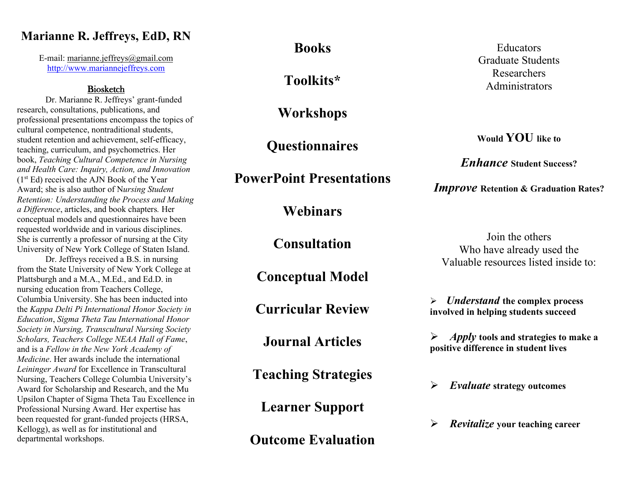# **Marianne R. Jeffreys, EdD, RN**

E-mail: [marianne.jeffreys@gmail.com](mailto:marianne.jeffreys@gmail.com) [http://www.mariannejeffreys.com](http://www.mariannejeffreys.com/)

## Biosketch

Dr. Marianne R. Jeffreys' grant-funded research, consultations, publications, and professional presentations encompass the topics of cultural competence, nontraditional students, student retention and achievement, self-efficacy, teaching, curriculum, and psychometrics. Her book, *Teaching Cultural Competence in Nursing and Health Care: Inquiry, Action, and Innovation*  (1st Ed) received the AJN Book of the Year Award; she is also author of N*ursing Student Retention: Understanding the Process and Making a Difference*, articles, and book chapters*.* Her conceptual models and questionnaires have been requested worldwide and in various disciplines. She is currently a professor of nursing at the City University of New York College of Staten Island.

Dr. Jeffreys received a B.S. in nursing from the State University of New York College at Plattsburgh and a M.A., M.Ed., and Ed.D. in nursing education from Teachers College, Columbia University. She has been inducted into the *Kappa Delti Pi International Honor Society in Education*, *Sigma Theta Tau International Honor Society in Nursing, Transcultural Nursing Society Scholars, Teachers College NEAA Hall of Fame*, and is a *Fellow in the New York Academy of Medicine*. Her awards include the international *Leininger Award* for Excellence in Transcultural Nursing, Teachers College Columbia University's Award for Scholarship and Research, and the Mu Upsilon Chapter of Sigma Theta Tau Excellence in Professional Nursing Award. Her expertise has been requested for grant-funded projects (HRSA, Kellogg), as well as for institutional and departmental workshops.

**Books**

**Toolkits\***

**Workshops**

**Questionnaires**

**PowerPoint Presentations**

**Webinars**

**Consultation**

**Conceptual Model** 

**Curricular Review**

**Journal Articles**

**Teaching Strategies**

**Learner Support**

**Outcome Evaluation**

Educators Graduate Students Researchers Administrators

**Would YOU like to**

*Enhance* **Student Success?**

*Improve* **Retention & Graduation Rates?**

Join the others Who have already used the Valuable resources listed inside to:

➢ *Understand* **the complex process involved in helping students succeed**

➢ *Apply* **tools and strategies to make a positive difference in student lives**

➢ *Evaluate* **strategy outcomes**

➢ *Revitalize* **your teaching career**